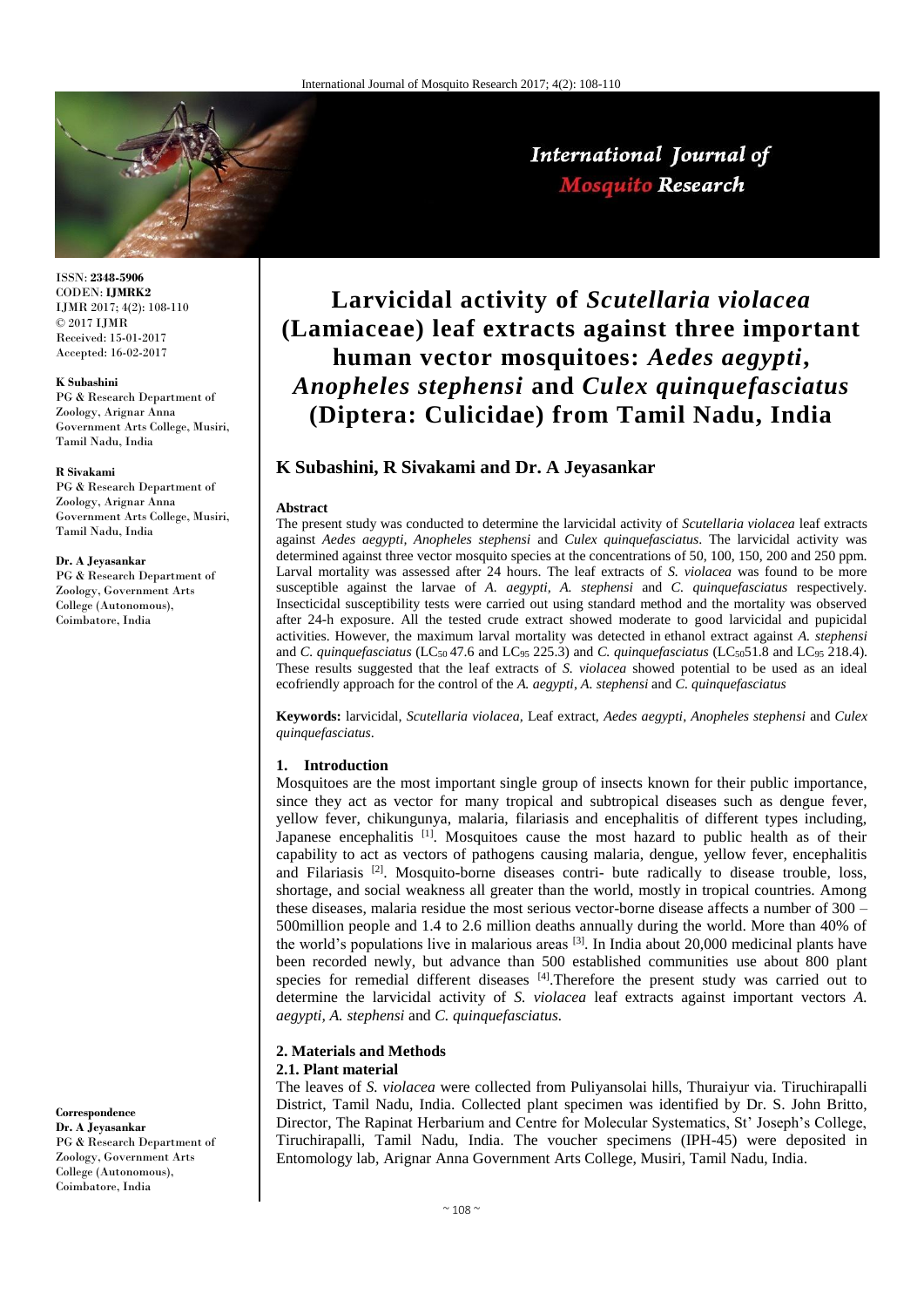

ISSN: **2348-5906** CODEN: **IJMRK2** IJMR 2017; 4(2): 108-110 © 2017 IJMR Received: 15-01-2017 Accepted: 16-02-2017

### **K Subashini**

PG & Research Department of Zoology, Arignar Anna Government Arts College, Musiri, Tamil Nadu, India

#### **R Sivakami**

PG & Research Department of Zoology, Arignar Anna Government Arts College, Musiri, Tamil Nadu, India

#### **Dr. A Jeyasankar**

PG & Research Department of Zoology, Government Arts College (Autonomous), Coimbatore, India

**Correspondence**

**Dr. A Jeyasankar** PG & Research Department of Zoology, Government Arts College (Autonomous), Coimbatore, India

# **Larvicidal activity of** *Scutellaria violacea* **(Lamiaceae) leaf extracts against three important human vector mosquitoes:** *Aedes aegypti***,**  *Anopheles stephensi* **and** *Culex quinquefasciatus*  **(Diptera: Culicidae) from Tamil Nadu, India**

## **K Subashini, R Sivakami and Dr. A Jeyasankar**

## **Abstract**

The present study was conducted to determine the larvicidal activity of *Scutellaria violacea* leaf extracts against *Aedes aegypti, Anopheles stephensi* and *Culex quinquefasciatus*. The larvicidal activity was determined against three vector mosquito species at the concentrations of 50, 100, 150, 200 and 250 ppm. Larval mortality was assessed after 24 hours. The leaf extracts of *S. violacea* was found to be more susceptible against the larvae of *A. aegypti, A. stephensi* and *C. quinquefasciatus* respectively*.* Insecticidal susceptibility tests were carried out using standard method and the mortality was observed after 24-h exposure. All the tested crude extract showed moderate to good larvicidal and pupicidal activities. However, the maximum larval mortality was detected in ethanol extract against *A. stephensi*  and *C. quinquefasciatus* (LC<sub>50</sub> 47.6 and LC<sub>95</sub> 225.3) and *C. quinquefasciatus* (LC<sub>50</sub>51.8 and LC<sub>95</sub> 218.4). These results suggested that the leaf extracts of *S. violacea* showed potential to be used as an ideal ecofriendly approach for the control of the *A. aegypti*, *A. stephensi* and *C. quinquefasciatus*

**Keywords:** larvicidal, *Scutellaria violacea,* Leaf extract, *Aedes aegypti, Anopheles stephensi* and *Culex quinquefasciatus*.

### **1. Introduction**

Mosquitoes are the most important single group of insects known for their public importance, since they act as vector for many tropical and subtropical diseases such as dengue fever, yellow fever, chikungunya, malaria, filariasis and encephalitis of different types including, Japanese encephalitis <sup>[1]</sup>. Mosquitoes cause the most hazard to public health as of their capability to act as vectors of pathogens causing malaria, dengue, yellow fever, encephalitis and Filariasis [2]. Mosquito-borne diseases contri- bute radically to disease trouble, loss, shortage, and social weakness all greater than the world, mostly in tropical countries. Among these diseases, malaria residue the most serious vector-borne disease affects a number of 300 – 500million people and 1.4 to 2.6 million deaths annually during the world. More than 40% of the world's populations live in malarious areas  $^{[3]}$ . In India about 20,000 medicinal plants have been recorded newly, but advance than 500 established communities use about 800 plant species for remedial different diseases  $[4]$ . Therefore the present study was carried out to determine the larvicidal activity of *S. violacea* leaf extracts against important vectors *A. aegypti, A. stephensi* and *C. quinquefasciatus.*

# **2. Materials and Methods**

## **2.1. Plant material**

The leaves of *S. violacea* were collected from Puliyansolai hills, Thuraiyur via. Tiruchirapalli District, Tamil Nadu, India. Collected plant specimen was identified by Dr. S. John Britto, Director, The Rapinat Herbarium and Centre for Molecular Systematics, St' Joseph's College, Tiruchirapalli, Tamil Nadu, India. The voucher specimens (IPH-45) were deposited in Entomology lab, Arignar Anna Government Arts College, Musiri, Tamil Nadu, India.

# International Journal of **Mosquito Research**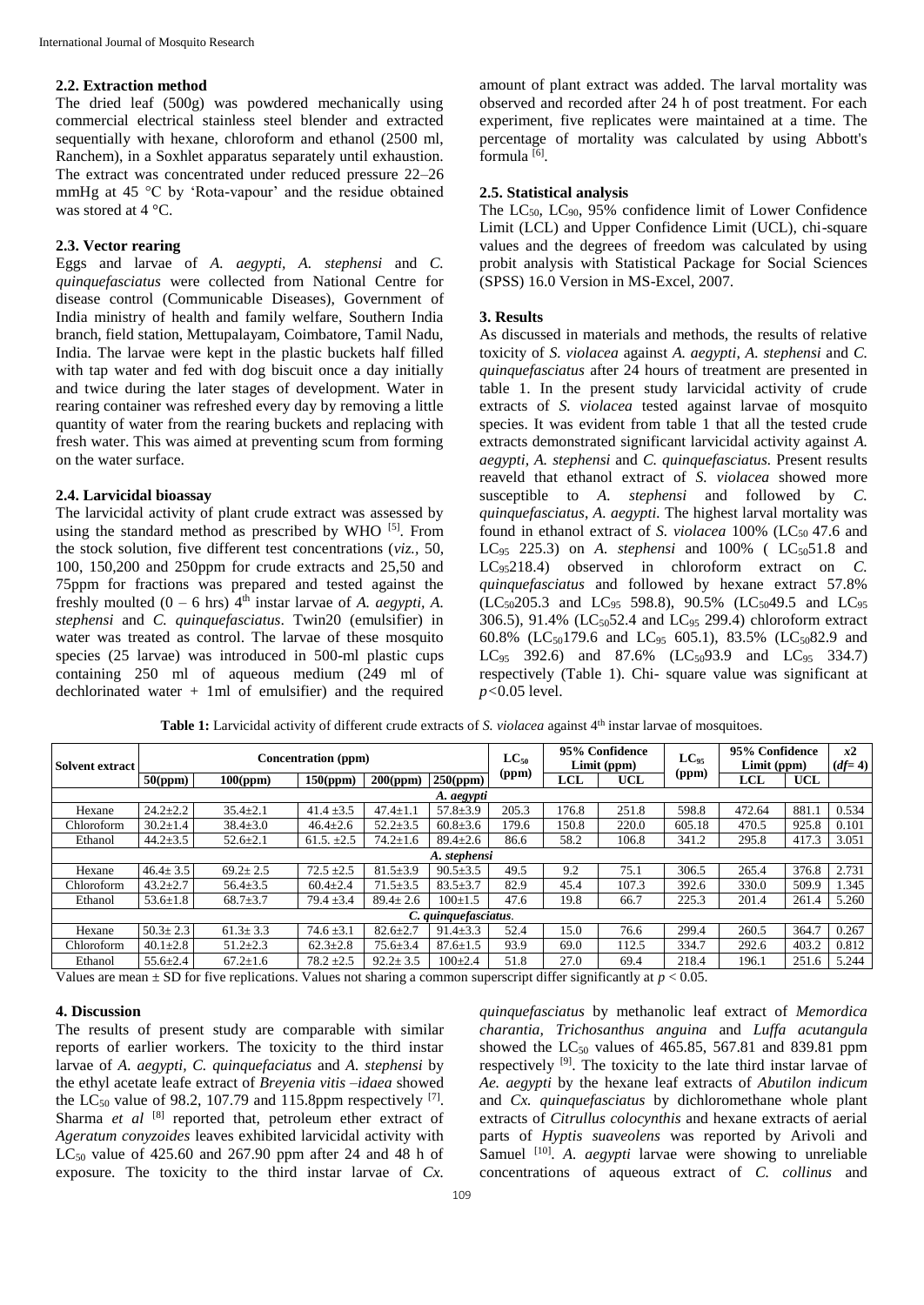### **2.2. Extraction method**

The dried leaf (500g) was powdered mechanically using commercial electrical stainless steel blender and extracted sequentially with hexane, chloroform and ethanol (2500 ml, Ranchem), in a Soxhlet apparatus separately until exhaustion. The extract was concentrated under reduced pressure 22–26 mmHg at 45 °C by 'Rota-vapour' and the residue obtained was stored at 4 °C.

## **2.3. Vector rearing**

Eggs and larvae of *A. aegypti, A. stephensi* and *C. quinquefasciatus* were collected from National Centre for disease control (Communicable Diseases), Government of India ministry of health and family welfare, Southern India branch, field station, Mettupalayam, Coimbatore, Tamil Nadu, India. The larvae were kept in the plastic buckets half filled with tap water and fed with dog biscuit once a day initially and twice during the later stages of development. Water in rearing container was refreshed every day by removing a little quantity of water from the rearing buckets and replacing with fresh water. This was aimed at preventing scum from forming on the water surface.

### **2.4. Larvicidal bioassay**

The larvicidal activity of plant crude extract was assessed by using the standard method as prescribed by WHO [5]. From the stock solution, five different test concentrations (*viz.,* 50, 100, 150,200 and 250ppm for crude extracts and 25,50 and 75ppm for fractions was prepared and tested against the freshly moulted  $(0 - 6 \text{ hrs})$   $4^{\text{th}}$  instar larvae of *A. aegypti, A. stephensi* and *C. quinquefasciatus*. Twin20 (emulsifier) in water was treated as control. The larvae of these mosquito species (25 larvae) was introduced in 500-ml plastic cups containing 250 ml of aqueous medium (249 ml of dechlorinated water + 1ml of emulsifier) and the required

amount of plant extract was added. The larval mortality was observed and recorded after 24 h of post treatment. For each experiment, five replicates were maintained at a time. The percentage of mortality was calculated by using Abbott's formula [6].

### **2.5. Statistical analysis**

The  $LC_{50}$ ,  $LC_{90}$ , 95% confidence limit of Lower Confidence Limit (LCL) and Upper Confidence Limit (UCL), chi-square values and the degrees of freedom was calculated by using probit analysis with Statistical Package for Social Sciences (SPSS) 16.0 Version in MS-Excel, 2007.

### **3. Results**

As discussed in materials and methods, the results of relative toxicity of *S. violacea* against *A. aegypti*, *A. stephensi* and *C. quinquefasciatus* after 24 hours of treatment are presented in table 1. In the present study larvicidal activity of crude extracts of *S. violacea* tested against larvae of mosquito species. It was evident from table 1 that all the tested crude extracts demonstrated significant larvicidal activity against *A. aegypti, A. stephensi* and *C. quinquefasciatus.* Present results reaveld that ethanol extract of *S. violacea* showed more susceptible to *A. stephensi* and followed by *C. quinquefasciatus*, *A. aegypti.* The highest larval mortality was found in ethanol extract of *S. violacea* 100% (LC<sub>50</sub> 47.6 and LC<sub>95</sub> 225.3) on *A. stephensi* and 100% ( LC<sub>50</sub>51.8 and LC95218.4) observed in chloroform extract on *C. quinquefasciatus* and followed by hexane extract 57.8% (LC<sub>50</sub>205.3 and LC<sub>95</sub> 598.8), 90.5% (LC<sub>50</sub>49.5 and LC<sub>95</sub> 306.5), 91.4% ( $LC_{50}$ 52.4 and  $LC_{95}$  299.4) chloroform extract 60.8% (LC<sub>50</sub>179.6 and LC<sub>95</sub> 605.1), 83.5% (LC<sub>50</sub>82.9 and LC<sub>95</sub> 392.6) and 87.6% (LC<sub>50</sub>93.9 and LC<sub>95</sub> 334.7) respectively (Table 1). Chi- square value was significant at *p<*0.05 level.

| Solvent extract      | Concentration (ppm) |                                                                                                                                                                                                      |                 |                |                | $LC_{50}$ | 95% Confidence<br>Limit (ppm) |            | $LC_{95}$ | 95% Confidence<br>Limit (ppm) |            | x2<br>$(df=4)$ |
|----------------------|---------------------|------------------------------------------------------------------------------------------------------------------------------------------------------------------------------------------------------|-----------------|----------------|----------------|-----------|-------------------------------|------------|-----------|-------------------------------|------------|----------------|
|                      | 50(ppm)             | 100(ppm)                                                                                                                                                                                             | 150(ppm)        | 200(ppm)       | 250(ppm)       | (ppm)     | LCL                           | <b>UCL</b> | (ppm)     | LCL                           | <b>UCL</b> |                |
| A. aegypti           |                     |                                                                                                                                                                                                      |                 |                |                |           |                               |            |           |                               |            |                |
| Hexane               | $24.2 \pm 2.2$      | $35.4 \pm 2.1$                                                                                                                                                                                       | $41.4 \pm 3.5$  | $47.4 \pm 1.1$ | $57.8 \pm 3.9$ | 205.3     | 176.8                         | 251.8      | 598.8     | 472.64                        | 881.1      | 0.534          |
| Chloroform           | $30.2 \pm 1.4$      | $38.4 \pm 3.0$                                                                                                                                                                                       | $46.4 \pm 2.6$  | $52.2 \pm 3.5$ | $60.8 \pm 3.6$ | 179.6     | 150.8                         | 220.0      | 605.18    | 470.5                         | 925.8      | 0.101          |
| Ethanol              | $44.2 \pm 3.5$      | $52.6 \pm 2.1$                                                                                                                                                                                       | 61.5. $\pm 2.5$ | $74.2 \pm 1.6$ | $89.4 \pm 2.6$ | 86.6      | 58.2                          | 106.8      | 341.2     | 295.8                         | 417.3      | 3.051          |
| A. stephensi         |                     |                                                                                                                                                                                                      |                 |                |                |           |                               |            |           |                               |            |                |
| Hexane               | $46.4 \pm 3.5$      | $69.2 \pm 2.5$                                                                                                                                                                                       | $72.5 \pm 2.5$  | $81.5 \pm 3.9$ | $90.5 \pm 3.5$ | 49.5      | 9.2                           | 75.1       | 306.5     | 265.4                         | 376.8      | 2.731          |
| Chloroform           | $43.2 \pm 2.7$      | $56.4 \pm 3.5$                                                                                                                                                                                       | $60.4 \pm 2.4$  | $71.5 \pm 3.5$ | $83.5 \pm 3.7$ | 82.9      | 45.4                          | 107.3      | 392.6     | 330.0                         | 509.9      | 1.345          |
| Ethanol              | $53.6 \pm 1.8$      | $68.7 \pm 3.7$                                                                                                                                                                                       | $79.4 \pm 3.4$  | $89.4 \pm 2.6$ | $100+1.5$      | 47.6      | 19.8                          | 66.7       | 225.3     | 201.4                         | 261.4      | 5.260          |
| C. quinquefasciatus. |                     |                                                                                                                                                                                                      |                 |                |                |           |                               |            |           |                               |            |                |
| Hexane               | $50.3 \pm 2.3$      | $61.3 \pm 3.3$                                                                                                                                                                                       | $74.6 \pm 3.1$  | $82.6 \pm 2.7$ | $91.4 \pm 3.3$ | 52.4      | 15.0                          | 76.6       | 299.4     | 260.5                         | 364.7      | 0.267          |
| Chloroform           | $40.1 \pm 2.8$      | $51.2 \pm 2.3$                                                                                                                                                                                       | $62.3 \pm 2.8$  | $75.6 \pm 3.4$ | $87.6 \pm 1.5$ | 93.9      | 69.0                          | 112.5      | 334.7     | 292.6                         | 403.2      | 0.812          |
| Ethanol              | $55.6 \pm 2.4$      | $67.2 \pm 1.6$                                                                                                                                                                                       | $78.2 \pm 2.5$  | $92.2 \pm 3.5$ | $100 \pm 2.4$  | 51.8      | 27.0                          | 69.4       | 218.4     | 196.1                         | 251.6      | 5.244          |
|                      |                     | $\mathbf{V}$ because the $\mathbf{v}$ contract of $\mathbf{V}$ because the set of $\mathbf{v}$ and $\mathbf{v}$ and $\mathbf{v}$ and $\mathbf{v}$ and $\mathbf{v}$ and $\mathbf{v}$ and $\mathbf{v}$ |                 |                |                |           |                               |            |           |                               |            |                |

**Table 1:** Larvicidal activity of different crude extracts of *S. violacea* against 4th instar larvae of mosquitoes.

Values are mean ± SD for five replications. Values not sharing a common superscript differ significantly at *p* < 0.05.

### **4. Discussion**

The results of present study are comparable with similar reports of earlier workers. The toxicity to the third instar larvae of *A. aegypti, C. quinquefaciatus* and *A. stephensi* by the ethyl acetate leafe extract of *Breyenia vitis –idaea* showed the LC<sub>50</sub> value of 98.2, 107.79 and 115.8ppm respectively  $[7]$ . Sharma *et al* <sup>[8]</sup> reported that, petroleum ether extract of *Ageratum conyzoides* leaves exhibited larvicidal activity with  $LC_{50}$  value of 425.60 and 267.90 ppm after 24 and 48 h of exposure. The toxicity to the third instar larvae of *Cx.* 

*quinquefasciatus* by methanolic leaf extract of *Memordica charantia, Trichosanthus anguina* and *Luffa acutangula* showed the  $LC_{50}$  values of 465.85, 567.81 and 839.81 ppm respectively [9]. The toxicity to the late third instar larvae of *Ae. aegypti* by the hexane leaf extracts of *Abutilon indicum* and *Cx. quinquefasciatus* by dichloromethane whole plant extracts of *Citrullus colocynthis* and hexane extracts of aerial parts of *Hyptis suaveolens* was reported by Arivoli and Samuel <sup>[10]</sup>. *A. aegypti* larvae were showing to unreliable concentrations of aqueous extract of *C. collinus* and